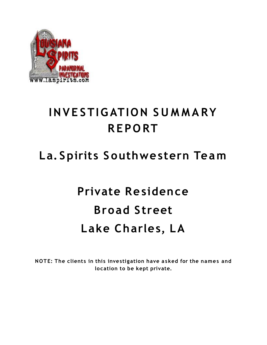

## **INV E STIG ATION S U M M A RY R EPO RT**

### **La. Spirits S outhwestern Team**

# **Private Residence Broad Street Lake Charles, LA**

**NOTE: The clients in this investigation have a sked for the names and location to be kept private.**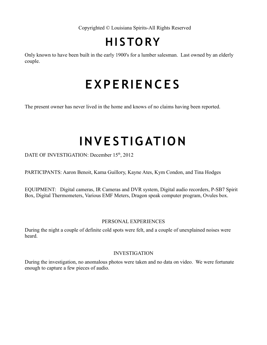Copyrighted © Louisiana Spirits-All Rights Reserved

### **HI S TO RY**

Only known to have been built in the early 1900's for a lumber salesman. Last owned by an elderly couple.

### **E XP E RIE N C E S**

The present owner has never lived in the home and knows of no claims having been reported.

# **INVE STIG ATION**

DATE OF INVESTIGATION: December 15<sup>th</sup>, 2012

PARTICIPANTS: Aaron Benoit, Kama Guillory, Kayne Ates, Kym Condon, and Tina Hodges

EQUIPMENT: Digital cameras, IR Cameras and DVR system, Digital audio recorders, P-SB7 Spirit Box, Digital Thermometers, Various EMF Meters, Dragon speak computer program, Ovules box.

#### PERSONAL EXPERIENCES

During the night a couple of definite cold spots were felt, and a couple of unexplained noises were heard.

#### INVESTIGATION

During the investigation, no anomalous photos were taken and no data on video. We were fortunate enough to capture a few pieces of audio.